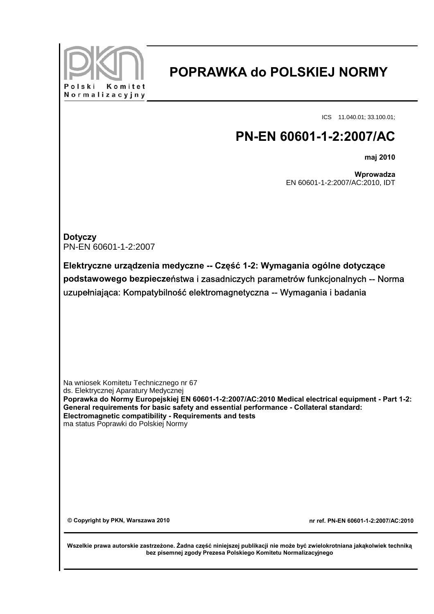

## **POPRAWKA do POLSKIEJ NORMY**

ICS 11.040.01; 33.100.01;

## **PN-EN 60601-1-2:2007/AC**

**maj 2010**

**Wprowadza** EN 60601-1-2:2007/AC:2010, IDT

| <b>Dotyczy</b><br>PN-EN 60601-1-2:2007                                                                                                                                                                                                                                                                                                                                          |                                      |
|---------------------------------------------------------------------------------------------------------------------------------------------------------------------------------------------------------------------------------------------------------------------------------------------------------------------------------------------------------------------------------|--------------------------------------|
| Elektryczne urządzenia medyczne -- Część 1-2: Wymagania ogólne dotyczące<br>podstawowego bezpieczeństwa i zasadniczych parametrów funkcjonalnych -- Norma<br>uzupełniająca: Kompatybilność elektromagnetyczna -- Wymagania i badania                                                                                                                                            |                                      |
| Na wniosek Komitetu Technicznego nr 67<br>ds. Elektrycznej Aparatury Medycznej<br>Poprawka do Normy Europejskiej EN 60601-1-2:2007/AC:2010 Medical electrical equipment - Part 1-2:<br>General requirements for basic safety and essential performance - Collateral standard:<br>Electromagnetic compatibility - Requirements and tests<br>ma status Poprawki do Polskiej Normy |                                      |
| © Copyright by PKN, Warszawa 2010                                                                                                                                                                                                                                                                                                                                               | nr ref. PN-EN 60601-1-2:2007/AC:2010 |
| Wszelkie prawa autorskie zastrzeżone. Żadna część niniejszej publikacji nie może być zwielokrotniana jakąkolwiek techniką<br>bez pisemnej zgody Prezesa Polskiego Komitetu Normalizacyjnego                                                                                                                                                                                     |                                      |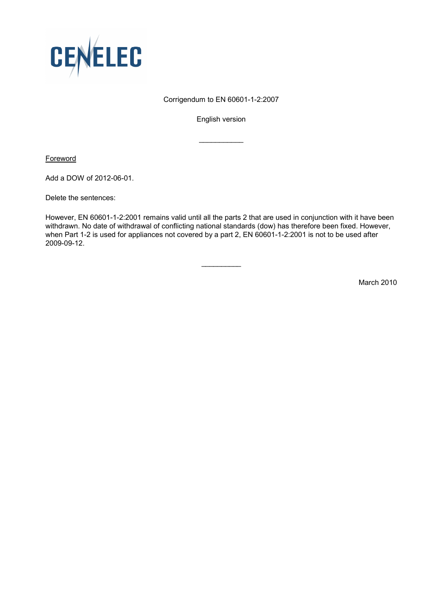

## Corrigendum to EN 60601-1-2:2007

English version

 $\frac{1}{2}$  ,  $\frac{1}{2}$  ,  $\frac{1}{2}$  ,  $\frac{1}{2}$  ,  $\frac{1}{2}$  ,  $\frac{1}{2}$  ,  $\frac{1}{2}$ 

**Foreword** 

Add a DOW of 2012-06-01.

Delete the sentences:

However, EN 60601-1-2:2001 remains valid until all the parts 2 that are used in conjunction with it have been withdrawn. No date of withdrawal of conflicting national standards (dow) has therefore been fixed. However, when Part 1-2 is used for appliances not covered by a part 2, EN 60601-1-2:2001 is not to be used after 2009-09-12.

 $\overline{\phantom{a}}$ 

March 2010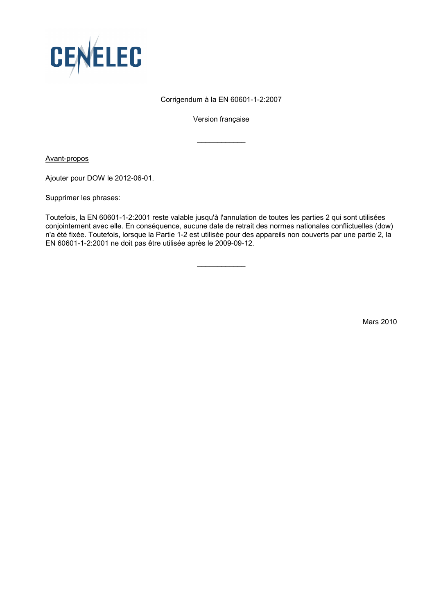

## Corrigendum à la EN 60601-1-2:2007

Version française

 $\frac{1}{2}$  ,  $\frac{1}{2}$  ,  $\frac{1}{2}$  ,  $\frac{1}{2}$  ,  $\frac{1}{2}$  ,  $\frac{1}{2}$  ,  $\frac{1}{2}$ 

Avant-propos

Ajouter pour DOW le 2012-06-01.

Supprimer les phrases:

Toutefois, la EN 60601-1-2:2001 reste valable jusqu'à l'annulation de toutes les parties 2 qui sont utilisées conjointement avec elle. En conséquence, aucune date de retrait des normes nationales conflictuelles (dow) n'a été fixée. Toutefois, lorsque la Partie 1-2 est utilisée pour des appareils non couverts par une partie 2, la EN 60601-1-2:2001 ne doit pas être utilisée après le 2009-09-12.

 $\overline{\phantom{a}}$ 

Mars 2010